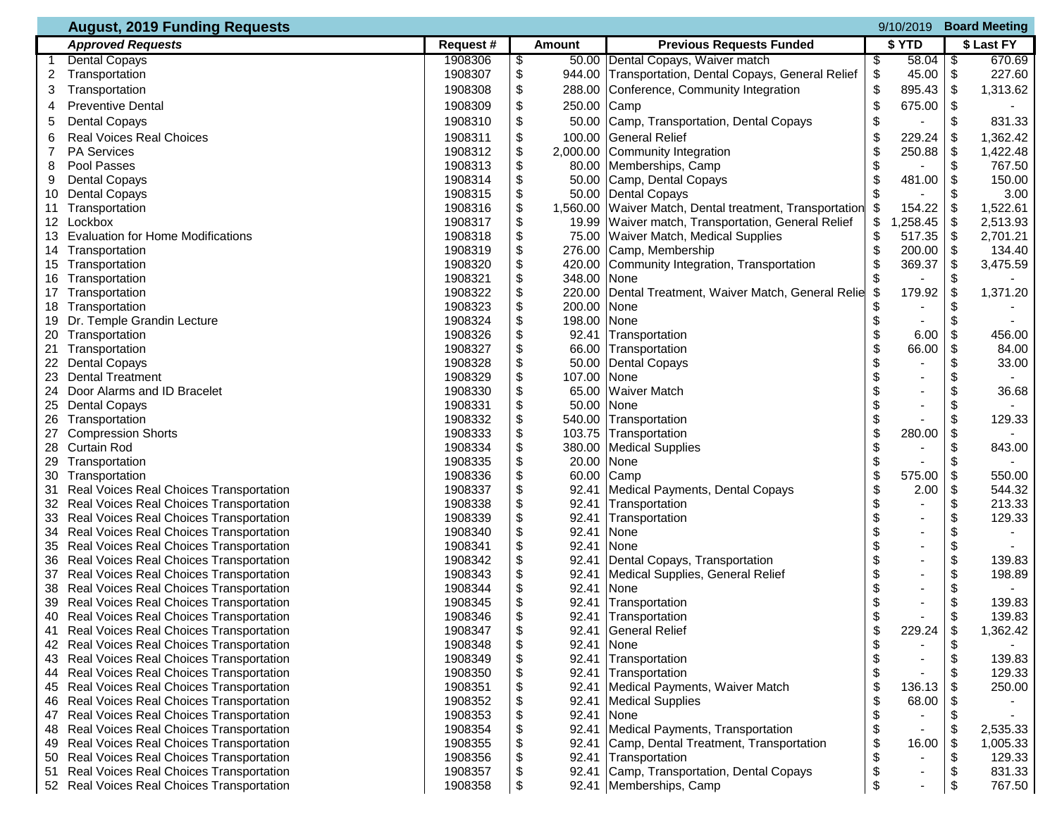| <b>August, 2019 Funding Requests</b><br><b>Board Meeting</b><br>9/10/2019 |                                              |                    |                       |                                                |                                |                 |        |  |
|---------------------------------------------------------------------------|----------------------------------------------|--------------------|-----------------------|------------------------------------------------|--------------------------------|-----------------|--------|--|
|                                                                           | <b>Approved Requests</b>                     | Request#           | <b>Amount</b>         | <b>Previous Requests Funded</b>                | \$ YTD                         | \$ Last FY      |        |  |
|                                                                           | <b>Dental Copays</b>                         | 1908306            | \$<br>50.00           | Dental Copays, Waiver match                    | 58.04<br>\$                    | 1\$             | 670.69 |  |
| 2                                                                         | Transportation                               | 1908307            | \$<br>944.00          | Transportation, Dental Copays, General Relief  | \$<br>$45.00$ \$               |                 | 227.60 |  |
| 3                                                                         | Transportation                               | 1908308            | \$<br>288.00          | Conference, Community Integration              | \$<br>895.43 \$                | 1,313.62        |        |  |
| 4                                                                         | <b>Preventive Dental</b>                     | 1908309            | \$<br>250.00          | Camp                                           | \$<br>675.00                   | \$              |        |  |
| 5                                                                         | <b>Dental Copays</b>                         | 1908310            | \$<br>50.00           | Camp, Transportation, Dental Copays            | \$                             | \$              | 831.33 |  |
| 6                                                                         | <b>Real Voices Real Choices</b>              | 1908311            | \$<br>100.00          | <b>General Relief</b>                          | \$<br>229.24                   | \$<br>1,362.42  |        |  |
| 7                                                                         | <b>PA Services</b>                           | 1908312            | \$<br>2,000.00        | Community Integration                          | \$<br>250.88                   | -\$<br>1,422.48 |        |  |
| 8                                                                         | Pool Passes                                  | 1908313            | \$<br>80.00           | Memberships, Camp                              | \$                             | \$              | 767.50 |  |
| 9                                                                         | <b>Dental Copays</b>                         | 1908314            | \$<br>50.00           | Camp, Dental Copays                            | \$<br>481.00                   | \$              | 150.00 |  |
| 10                                                                        | <b>Dental Copays</b>                         | 1908315            | \$<br>50.00           | <b>Dental Copays</b>                           |                                | \$              | 3.00   |  |
| 11                                                                        | Transportation                               | 1908316            | \$<br>1,560.00        | Waiver Match, Dental treatment, Transportation | 154.22                         | -\$<br>1,522.61 |        |  |
| 12 <sup>°</sup>                                                           | Lockbox                                      | 1908317            | \$<br>19.99           | Waiver match, Transportation, General Relief   | \$<br>,258.45                  | \$<br>2,513.93  |        |  |
| 13                                                                        | <b>Evaluation for Home Modifications</b>     | 1908318            | \$<br>75.00           | Waiver Match, Medical Supplies                 | \$<br>517.35                   | \$<br>2,701.21  |        |  |
| 14                                                                        | Transportation                               | 1908319            | \$<br>276.00          | Camp, Membership                               | \$<br>200.00                   | -\$             | 134.40 |  |
| 15                                                                        | Transportation                               | 1908320            | \$<br>420.00          | Community Integration, Transportation          | \$<br>369.37                   | \$<br>3,475.59  |        |  |
| 16                                                                        | Transportation                               | 1908321            | \$<br>348.00          | None                                           | \$                             | \$              |        |  |
| 17                                                                        | Transportation                               | 1908322            | \$<br>220.00          | Dental Treatment, Waiver Match, General Relie  | 179.92<br>\$                   | \$<br>1,371.20  |        |  |
| 18                                                                        | Transportation                               | 1908323            | \$<br>200.00<br>\$    | None                                           |                                |                 |        |  |
| 19<br>20                                                                  | Dr. Temple Grandin Lecture<br>Transportation | 1908324<br>1908326 | 198.00<br>\$<br>92.41 | None<br>Transportation                         | \$<br>\$<br>6.00               | \$<br>\$        | 456.00 |  |
|                                                                           |                                              | 1908327            | \$<br>66.00           |                                                | 66.00                          | \$              | 84.00  |  |
| 21<br>22                                                                  | Transportation<br><b>Dental Copays</b>       | 1908328            | \$<br>50.00           | Transportation<br><b>Dental Copays</b>         |                                | \$              | 33.00  |  |
| 23                                                                        | <b>Dental Treatment</b>                      | 1908329            | \$<br>107.00          | None                                           | \$                             | \$              |        |  |
| 24                                                                        | Door Alarms and ID Bracelet                  | 1908330            | \$<br>65.00           | <b>Waiver Match</b>                            | \$                             | \$              | 36.68  |  |
| 25                                                                        | <b>Dental Copays</b>                         | 1908331            | \$<br>50.00           | None                                           | \$                             | \$              |        |  |
| 26                                                                        | Transportation                               | 1908332            | \$<br>540.00          | Transportation                                 | \$                             | \$              | 129.33 |  |
| 27                                                                        | <b>Compression Shorts</b>                    | 1908333            | \$<br>103.75          | Transportation                                 | \$<br>280.00                   | \$              |        |  |
|                                                                           | 28 Curtain Rod                               | 1908334            | \$<br>380.00          | <b>Medical Supplies</b>                        | \$                             | \$              | 843.00 |  |
| 29                                                                        | Transportation                               | 1908335            | \$<br>20.00           | None                                           | \$                             | \$              |        |  |
| 30                                                                        | Transportation                               | 1908336            | \$<br>60.00           | Camp                                           | \$<br>575.00                   | $\frac{1}{2}$   | 550.00 |  |
| 31                                                                        | Real Voices Real Choices Transportation      | 1908337            | \$<br>92.41           | Medical Payments, Dental Copays                | \$<br>2.00                     | \$              | 544.32 |  |
|                                                                           | 32 Real Voices Real Choices Transportation   | 1908338            | \$<br>92.41           | Transportation                                 | \$<br>$\overline{\phantom{0}}$ | \$              | 213.33 |  |
| 33                                                                        | Real Voices Real Choices Transportation      | 1908339            | \$<br>92.41           | Transportation                                 | \$                             | \$              | 129.33 |  |
| 34                                                                        | Real Voices Real Choices Transportation      | 1908340            | 92.41                 | None                                           | \$                             |                 |        |  |
| 35                                                                        | Real Voices Real Choices Transportation      | 1908341            | \$<br>92.41           | None                                           | \$<br>$\overline{\phantom{0}}$ | \$              |        |  |
| 36                                                                        | Real Voices Real Choices Transportation      | 1908342            | \$<br>92.41           | Dental Copays, Transportation                  | \$<br>$\blacksquare$           | \$              | 139.83 |  |
| 37                                                                        | Real Voices Real Choices Transportation      | 1908343            | \$<br>92.41           | Medical Supplies, General Relief               | \$<br>ä,                       | \$              | 198.89 |  |
| 38                                                                        | Real Voices Real Choices Transportation      | 1908344            | \$<br>92.41           | None                                           | \$<br>$\blacksquare$           | \$              |        |  |
|                                                                           | 39 Real Voices Real Choices Transportation   | 1908345            | \$<br>92.41           | Transportation                                 | \$                             | \$              | 139.83 |  |
| 40                                                                        | Real Voices Real Choices Transportation      | 1908346            | \$<br>92.41           | Transportation                                 |                                | \$              | 139.83 |  |
|                                                                           | 41 Real Voices Real Choices Transportation   | 1908347            | \$<br>92.41           | <b>General Relief</b>                          | \$<br>229.24                   | \$<br>1,362.42  |        |  |
|                                                                           | 42 Real Voices Real Choices Transportation   | 1908348            | \$<br>92.41           | None                                           |                                | \$              |        |  |
| 43                                                                        | Real Voices Real Choices Transportation      | 1908349            | \$<br>92.41           | Transportation                                 | \$                             | \$              | 139.83 |  |
|                                                                           | 44 Real Voices Real Choices Transportation   | 1908350            | \$<br>92.41           | Transportation                                 |                                | \$              | 129.33 |  |
|                                                                           | 45 Real Voices Real Choices Transportation   | 1908351            | \$<br>92.41           | Medical Payments, Waiver Match                 | \$<br>136.13                   | \$              | 250.00 |  |
|                                                                           | 46 Real Voices Real Choices Transportation   | 1908352            | \$<br>92.41           | <b>Medical Supplies</b>                        | 68.00<br>S                     |                 |        |  |
| 47                                                                        | Real Voices Real Choices Transportation      | 1908353            | \$<br>92.41           | None                                           | \$                             | \$              |        |  |
| 48                                                                        | Real Voices Real Choices Transportation      | 1908354            | \$<br>92.41           | Medical Payments, Transportation               | \$<br>-                        | \$<br>2,535.33  |        |  |
|                                                                           | 49 Real Voices Real Choices Transportation   | 1908355            | \$<br>92.41           | Camp, Dental Treatment, Transportation         | \$<br>16.00                    | -\$<br>1,005.33 |        |  |
|                                                                           | 50 Real Voices Real Choices Transportation   | 1908356            | \$<br>92.41           | Transportation                                 | \$                             | \$              | 129.33 |  |
| 51                                                                        | Real Voices Real Choices Transportation      | 1908357            | \$<br>92.41           | Camp, Transportation, Dental Copays            | \$                             | \$              | 831.33 |  |
|                                                                           | 52 Real Voices Real Choices Transportation   | 1908358            | \$<br>92.41           | Memberships, Camp                              | \$                             | \$              | 767.50 |  |